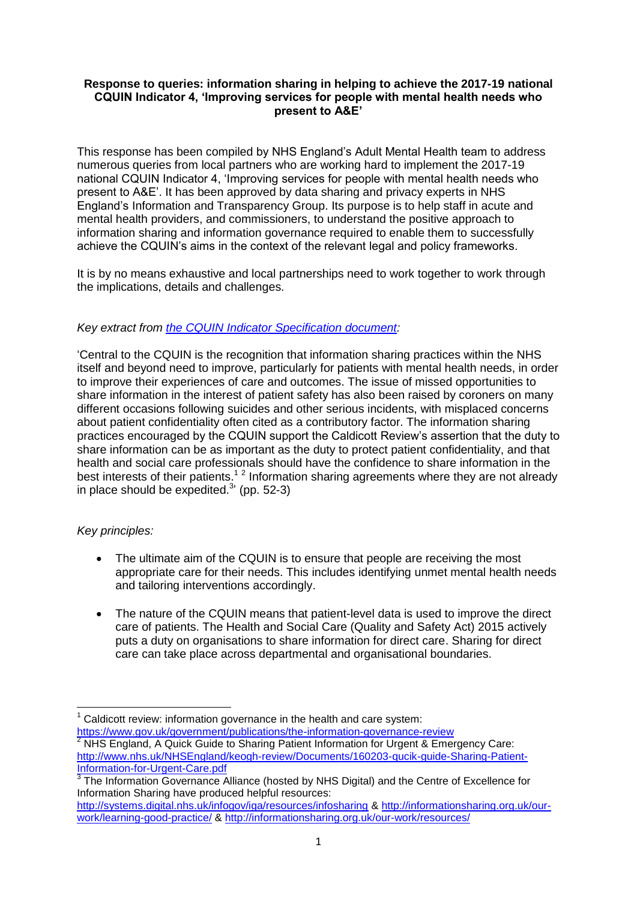### **Response to queries: information sharing in helping to achieve the 2017-19 national CQUIN Indicator 4, 'Improving services for people with mental health needs who present to A&E'**

This response has been compiled by NHS England's Adult Mental Health team to address numerous queries from local partners who are working hard to implement the 2017-19 national CQUIN Indicator 4, 'Improving services for people with mental health needs who present to A&E'. It has been approved by data sharing and privacy experts in NHS England's Information and Transparency Group. Its purpose is to help staff in acute and mental health providers, and commissioners, to understand the positive approach to information sharing and information governance required to enable them to successfully achieve the CQUIN's aims in the context of the relevant legal and policy frameworks.

It is by no means exhaustive and local partnerships need to work together to work through the implications, details and challenges.

# *Key extract from [the CQUIN Indicator Specification document:](https://www.england.nhs.uk/nhs-standard-contract/cquin/cquin-17-19/)*

'Central to the CQUIN is the recognition that information sharing practices within the NHS itself and beyond need to improve, particularly for patients with mental health needs, in order to improve their experiences of care and outcomes. The issue of missed opportunities to share information in the interest of patient safety has also been raised by coroners on many different occasions following suicides and other serious incidents, with misplaced concerns about patient confidentiality often cited as a contributory factor. The information sharing practices encouraged by the CQUIN support the Caldicott Review's assertion that the duty to share information can be as important as the duty to protect patient confidentiality, and that health and social care professionals should have the confidence to share information in the best interests of their patients.<sup>12</sup> Information sharing agreements where they are not already in place should be expedited. $3$ ' (pp. 52-3)

### *Key principles:*

- The ultimate aim of the CQUIN is to ensure that people are receiving the most appropriate care for their needs. This includes identifying unmet mental health needs and tailoring interventions accordingly.
- The nature of the CQUIN means that patient-level data is used to improve the direct care of patients. The Health and Social Care (Quality and Safety Act) 2015 actively puts a duty on organisations to share information for direct care. Sharing for direct care can take place across departmental and organisational boundaries.

<https://www.gov.uk/government/publications/the-information-governance-review><br><sup>2</sup> NHC Festival A 2 NHC Festival A 2 NHC Festival A 2 NHC Festival A 2 NHC Festival A 2 NHC Festival A 2 NHC Review <sup>2</sup> NHS England, A Quick Guide to Sharing Patient Information for Urgent & Emergency Care: [http://www.nhs.uk/NHSEngland/keogh-review/Documents/160203-qucik-guide-Sharing-Patient-](http://www.nhs.uk/NHSEngland/keogh-review/Documents/160203-qucik-guide-Sharing-Patient-Information-for-Urgent-Care.pdf)[Information-for-Urgent-Care.pdf](http://www.nhs.uk/NHSEngland/keogh-review/Documents/160203-qucik-guide-Sharing-Patient-Information-for-Urgent-Care.pdf)

 $\overline{a}$ Caldicott review: information governance in the health and care system:

 $3$  The Information Governance Alliance (hosted by NHS Digital) and the Centre of Excellence for Information Sharing have produced helpful resources:

<http://systems.digital.nhs.uk/infogov/iga/resources/infosharing> & [http://informationsharing.org.uk/our](http://informationsharing.org.uk/our-work/learning-good-practice/)[work/learning-good-practice/](http://informationsharing.org.uk/our-work/learning-good-practice/) &<http://informationsharing.org.uk/our-work/resources/>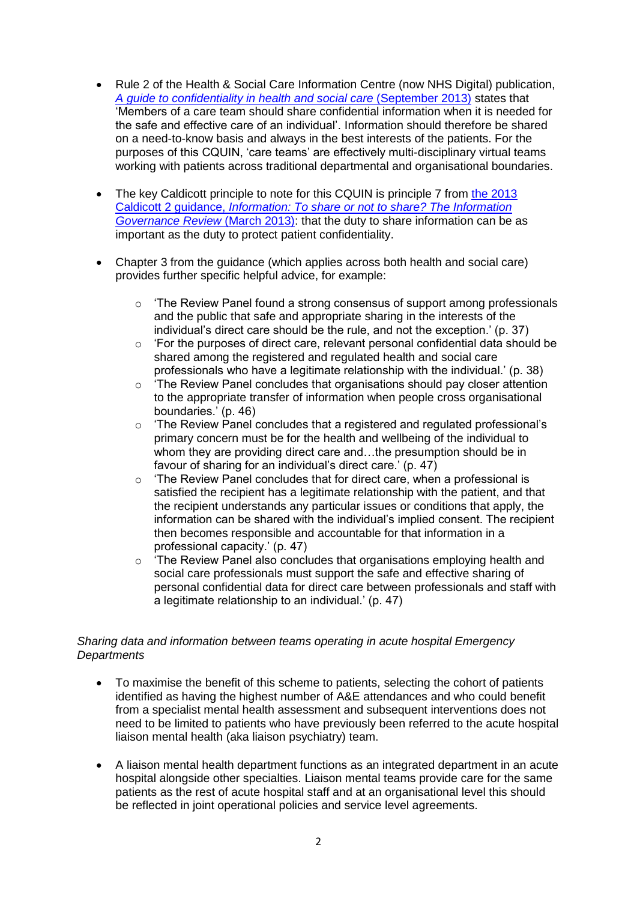- Rule 2 of the Health & Social Care Information Centre (now NHS Digital) publication, *[A guide to confidentiality in health and social care](http://content.digital.nhs.uk/media/12822/Guide-to-confidentiality-in-health-and-social-care/pdf/HSCIC-guide-to-confidentiality.pdf)* (September 2013) states that 'Members of a care team should share confidential information when it is needed for the safe and effective care of an individual'. Information should therefore be shared on a need-to-know basis and always in the best interests of the patients. For the purposes of this CQUIN, 'care teams' are effectively multi-disciplinary virtual teams working with patients across traditional departmental and organisational boundaries.
- The key Caldicott principle to note for this CQUIN is principle 7 from [the 2013](https://www.gov.uk/government/uploads/system/uploads/attachment_data/file/192572/2900774_InfoGovernance_accv2.pdf)  Caldicott 2 guidance, *[Information: To share or not to share? The Information](https://www.gov.uk/government/uploads/system/uploads/attachment_data/file/192572/2900774_InfoGovernance_accv2.pdf)  [Governance Review](https://www.gov.uk/government/uploads/system/uploads/attachment_data/file/192572/2900774_InfoGovernance_accv2.pdf)* (March 2013): that the duty to share information can be as important as the duty to protect patient confidentiality.
- Chapter 3 from the guidance (which applies across both health and social care) provides further specific helpful advice, for example:
	- $\circ$  'The Review Panel found a strong consensus of support among professionals and the public that safe and appropriate sharing in the interests of the individual's direct care should be the rule, and not the exception.' (p. 37)
	- $\circ$  'For the purposes of direct care, relevant personal confidential data should be shared among the registered and regulated health and social care professionals who have a legitimate relationship with the individual.' (p. 38)
	- $\circ$  'The Review Panel concludes that organisations should pay closer attention to the appropriate transfer of information when people cross organisational boundaries.' (p. 46)
	- o 'The Review Panel concludes that a registered and regulated professional's primary concern must be for the health and wellbeing of the individual to whom they are providing direct care and...the presumption should be in favour of sharing for an individual's direct care.' (p. 47)
	- o 'The Review Panel concludes that for direct care, when a professional is satisfied the recipient has a legitimate relationship with the patient, and that the recipient understands any particular issues or conditions that apply, the information can be shared with the individual's implied consent. The recipient then becomes responsible and accountable for that information in a professional capacity.' (p. 47)
	- $\circ$  'The Review Panel also concludes that organisations employing health and social care professionals must support the safe and effective sharing of personal confidential data for direct care between professionals and staff with a legitimate relationship to an individual.' (p. 47)

# *Sharing data and information between teams operating in acute hospital Emergency Departments*

- To maximise the benefit of this scheme to patients, selecting the cohort of patients identified as having the highest number of A&E attendances and who could benefit from a specialist mental health assessment and subsequent interventions does not need to be limited to patients who have previously been referred to the acute hospital liaison mental health (aka liaison psychiatry) team.
- A liaison mental health department functions as an integrated department in an acute hospital alongside other specialties. Liaison mental teams provide care for the same patients as the rest of acute hospital staff and at an organisational level this should be reflected in joint operational policies and service level agreements.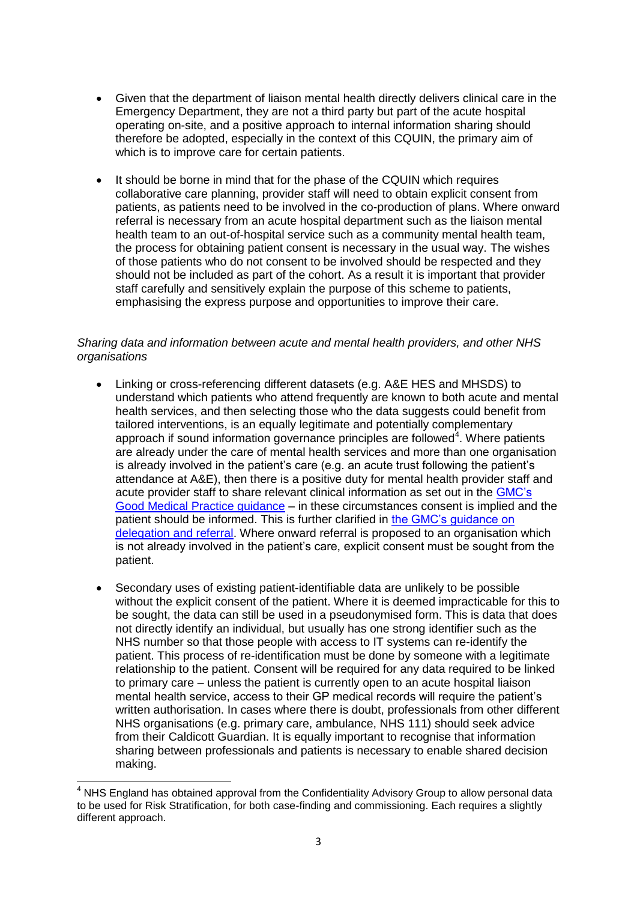- Given that the department of liaison mental health directly delivers clinical care in the Emergency Department, they are not a third party but part of the acute hospital operating on-site, and a positive approach to internal information sharing should therefore be adopted, especially in the context of this CQUIN, the primary aim of which is to improve care for certain patients.
- It should be borne in mind that for the phase of the CQUIN which requires collaborative care planning, provider staff will need to obtain explicit consent from patients, as patients need to be involved in the co-production of plans. Where onward referral is necessary from an acute hospital department such as the liaison mental health team to an out-of-hospital service such as a community mental health team, the process for obtaining patient consent is necessary in the usual way. The wishes of those patients who do not consent to be involved should be respected and they should not be included as part of the cohort. As a result it is important that provider staff carefully and sensitively explain the purpose of this scheme to patients, emphasising the express purpose and opportunities to improve their care.

### *Sharing data and information between acute and mental health providers, and other NHS organisations*

- Linking or cross-referencing different datasets (e.g. A&E HES and MHSDS) to understand which patients who attend frequently are known to both acute and mental health services, and then selecting those who the data suggests could benefit from tailored interventions, is an equally legitimate and potentially complementary approach if sound information governance principles are followed $4$ . Where patients are already under the care of mental health services and more than one organisation is already involved in the patient's care (e.g. an acute trust following the patient's attendance at A&E), then there is a positive duty for mental health provider staff and acute provider staff to share relevant clinical information as set out in the [GMC's](http://www.gmc-uk.org/guidance/good_medical_practice/continuity_care.asp)  [Good Medical Practice guidance](http://www.gmc-uk.org/guidance/good_medical_practice/continuity_care.asp) – in these circumstances consent is implied and the patient should be informed. This is further clarified in [the GMC's guidance on](http://www.gmc-uk.org/guidance/ethical_guidance/30143.asp)  [delegation and referral.](http://www.gmc-uk.org/guidance/ethical_guidance/30143.asp) Where onward referral is proposed to an organisation which is not already involved in the patient's care, explicit consent must be sought from the patient.
- Secondary uses of existing patient-identifiable data are unlikely to be possible without the explicit consent of the patient. Where it is deemed impracticable for this to be sought, the data can still be used in a pseudonymised form. This is data that does not directly identify an individual, but usually has one strong identifier such as the NHS number so that those people with access to IT systems can re-identify the patient. This process of re-identification must be done by someone with a legitimate relationship to the patient. Consent will be required for any data required to be linked to primary care – unless the patient is currently open to an acute hospital liaison mental health service, access to their GP medical records will require the patient's written authorisation. In cases where there is doubt, professionals from other different NHS organisations (e.g. primary care, ambulance, NHS 111) should seek advice from their Caldicott Guardian. It is equally important to recognise that information sharing between professionals and patients is necessary to enable shared decision making.

 $\overline{a}$  $<sup>4</sup>$  NHS England has obtained approval from the Confidentiality Advisory Group to allow personal data</sup> to be used for Risk Stratification, for both case-finding and commissioning. Each requires a slightly different approach.